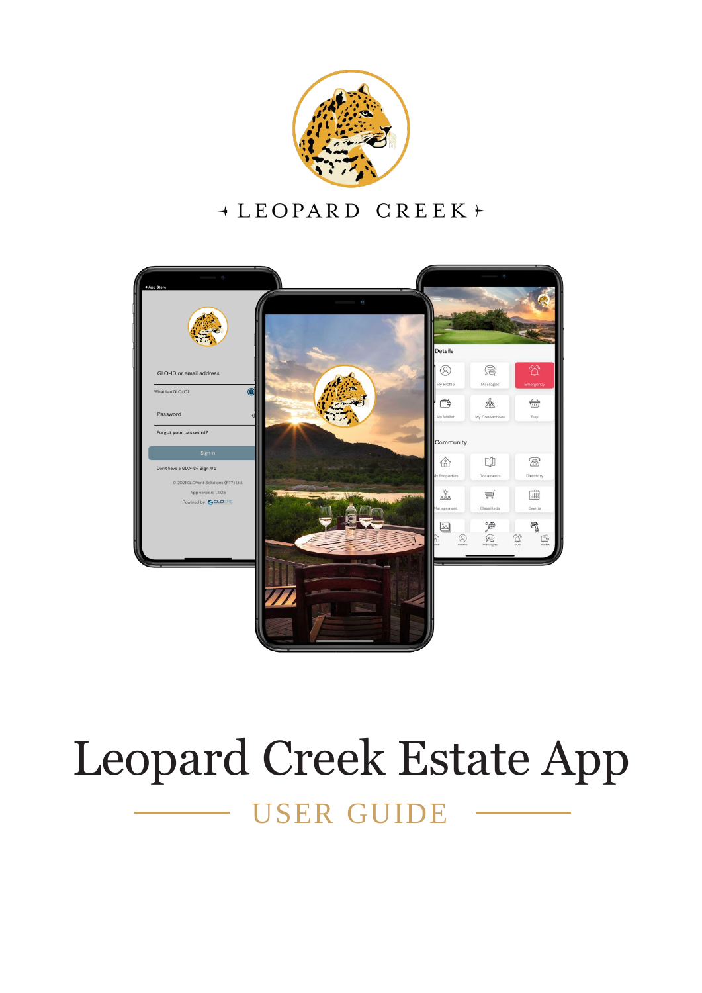

### $+$  LEOPARD CREEK  $+$



## Leopard Creek Estate App

USER GUIDE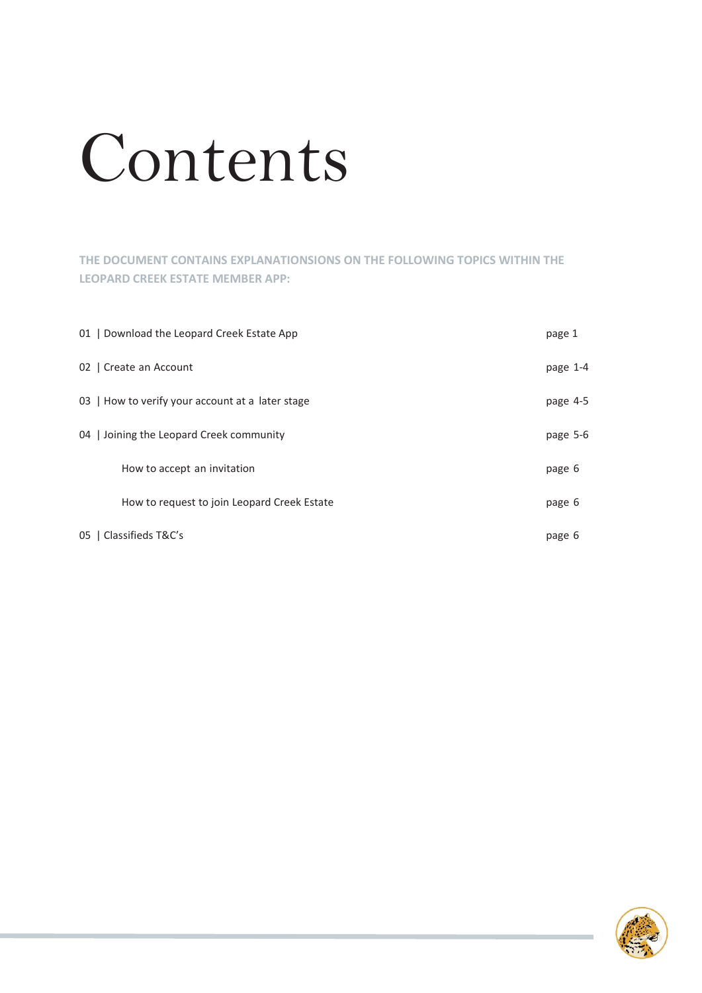# Contents

#### **THE DOCUMENT CONTAINS EXPLANATIONSIONS ON THE FOLLOWING TOPICS WITHIN THE LEOPARD CREEK ESTATE MEMBER APP:**

| 01   Download the Leopard Creek Estate App       | page 1   |
|--------------------------------------------------|----------|
| 02   Create an Account                           | page 1-4 |
| 03   How to verify your account at a later stage | page 4-5 |
| 04 Joining the Leopard Creek community           | page 5-6 |
| How to accept an invitation                      | page 6   |
| How to request to join Leopard Creek Estate      | page 6   |
| 05   Classifieds T&C's                           | page 6   |

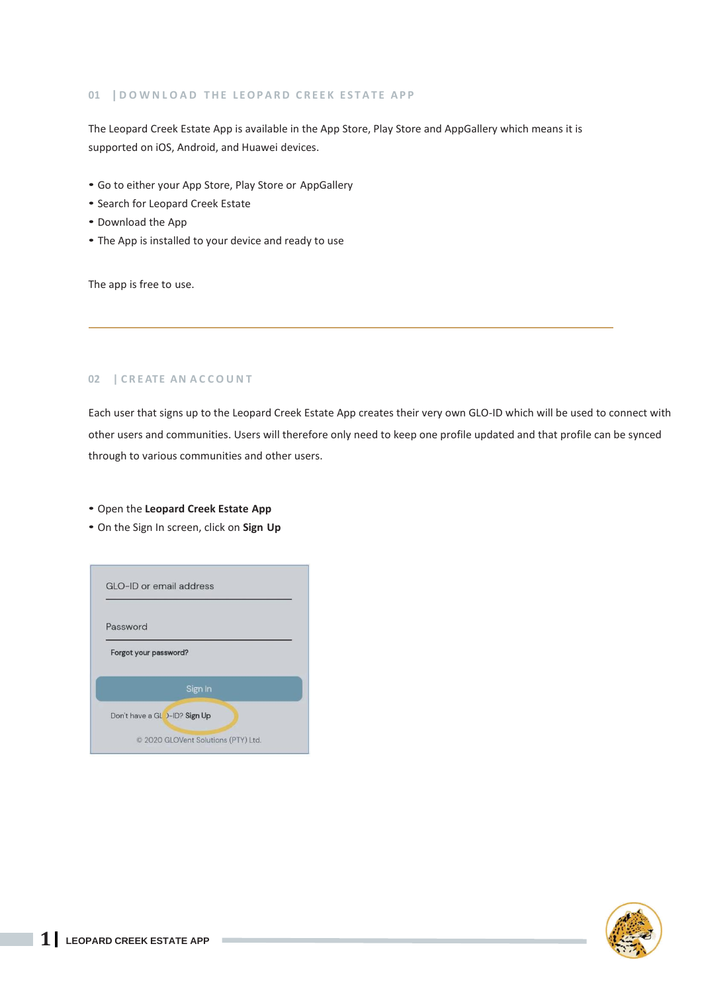#### **01 | D O W N L O A D T H E L E O P A R D C R E E K E S T A T E A P P**

The Leopard Creek Estate App is available in the App Store, Play Store and AppGallery which means it is supported on iOS, Android, and Huawei devices.

- Go to either your App Store, Play Store or AppGallery
- Search for Leopard Creek Estate
- Download the App
- The App is installed to your device and ready to use

The app is free to use.

#### **02 | C R E ATE AN A C C O U N T**

Each user that signs up to the Leopard Creek Estate App creates their very own GLO-ID which will be used to connect with other users and communities. Users will therefore only need to keep one profile updated and that profile can be synced through to various communities and other users.

• Open the **Leopard Creek Estate App**

• On the Sign In screen, click on **Sign Up**



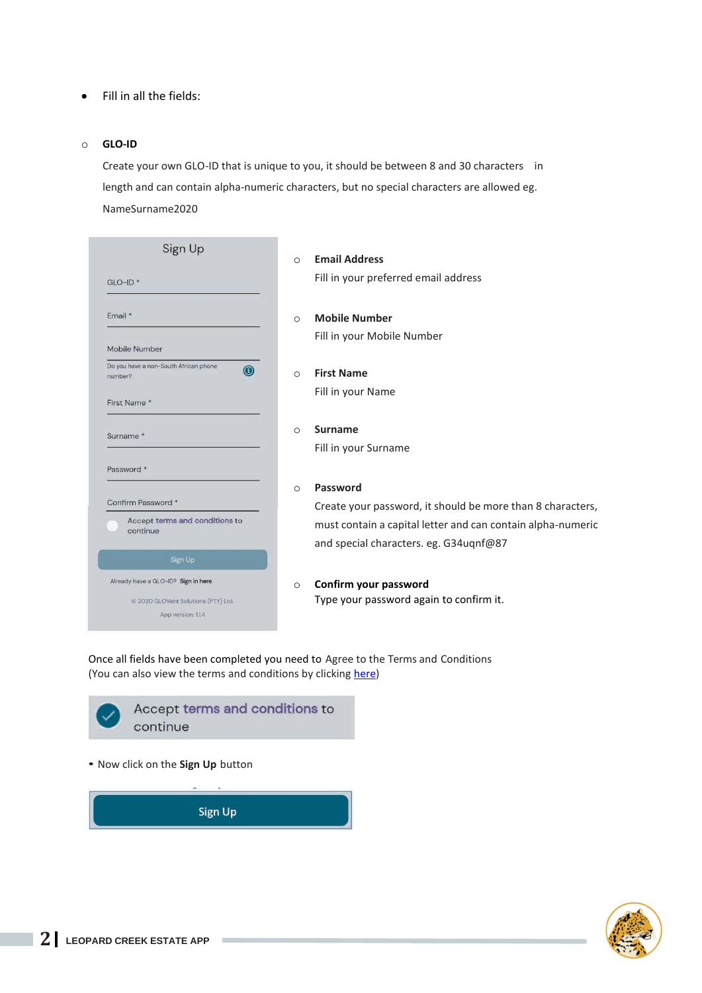#### • Fill in all the fields:

#### o **GLO-ID**

Create your own GLO-ID that is unique to you, it should be between 8 and 30 characters in length and can contain alpha-numeric characters, but no special characters are allowed eg. NameSurname2020

| $GLO$ -ID <sup>*</sup> |                                            |
|------------------------|--------------------------------------------|
| Fmail*                 |                                            |
|                        | Mobile Number                              |
| number?                | Do you have a non-South African phone<br>G |
|                        | First Name*                                |
|                        | Surname <sup>*</sup>                       |
|                        | Password *                                 |
|                        | Confirm Password *                         |
|                        | Accept terms and conditions to<br>continue |
|                        | Sign Up                                    |
|                        | Already have a GLO-ID? Sign in here        |
|                        | © 2020 GLOVent Solutions (PTY) Ltd.        |
|                        | App version: 1.1.4                         |

o **Email Address** Fill in your preferred email address

o **Mobile Number** Fill in your Mobile Number

#### o **First Name** Fill in your Name

o **Surname** Fill in your Surname

#### o **Password**

Create your password, it should be more than 8 characters, must contain a capital letter and can contain alpha-numeric and special characters. eg. G34uqnf@87

#### o **Confirm your password** Type your password again to confirm it.

Once all fields have been completed you need to Agree to the Terms and Conditions (You can also view the terms and conditions by clicking [here\)](https://www.glovent.net/disclaimers-privacy)



Sign Up

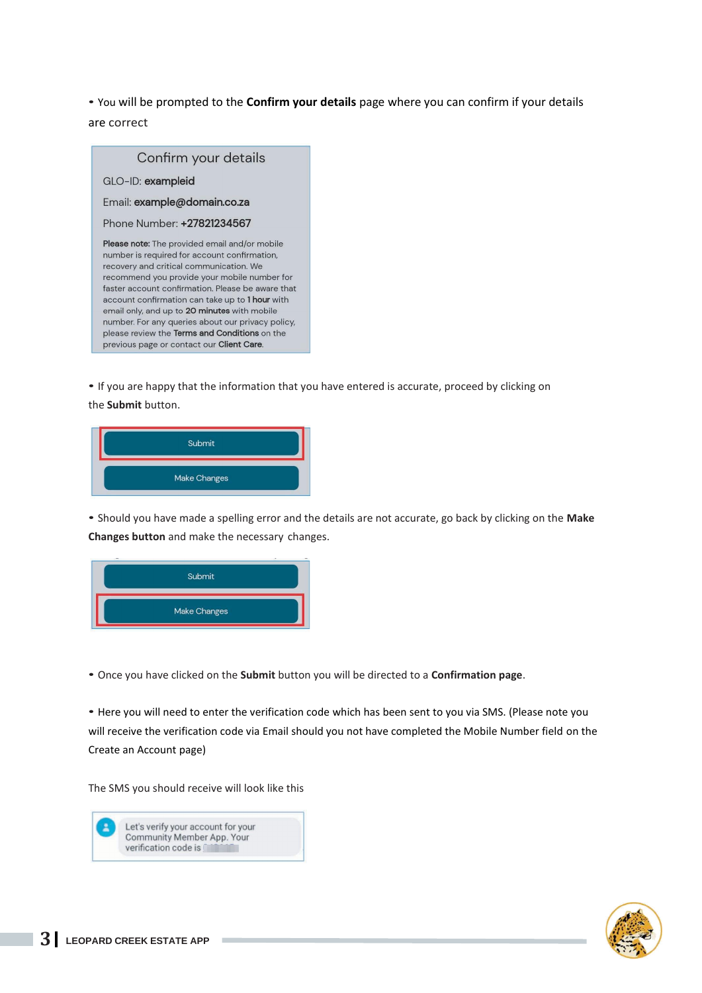• You will be prompted to the **Confirm your details** page where you can confirm if your details are correct



• If you are happy that the information that you have entered is accurate, proceed by clicking on the **Submit** button.



• Should you have made a spelling error and the details are not accurate, go back by clicking on the **Make Changes button** and make the necessary changes.



• Once you have clicked on the **Submit** button you will be directed to a **Confirmation page**.

• Here you will need to enter the verification code which has been sent to you via SMS. (Please note you will receive the verification code via Email should you not have completed the Mobile Number field on the Create an Account page)

The SMS you should receive will look like this



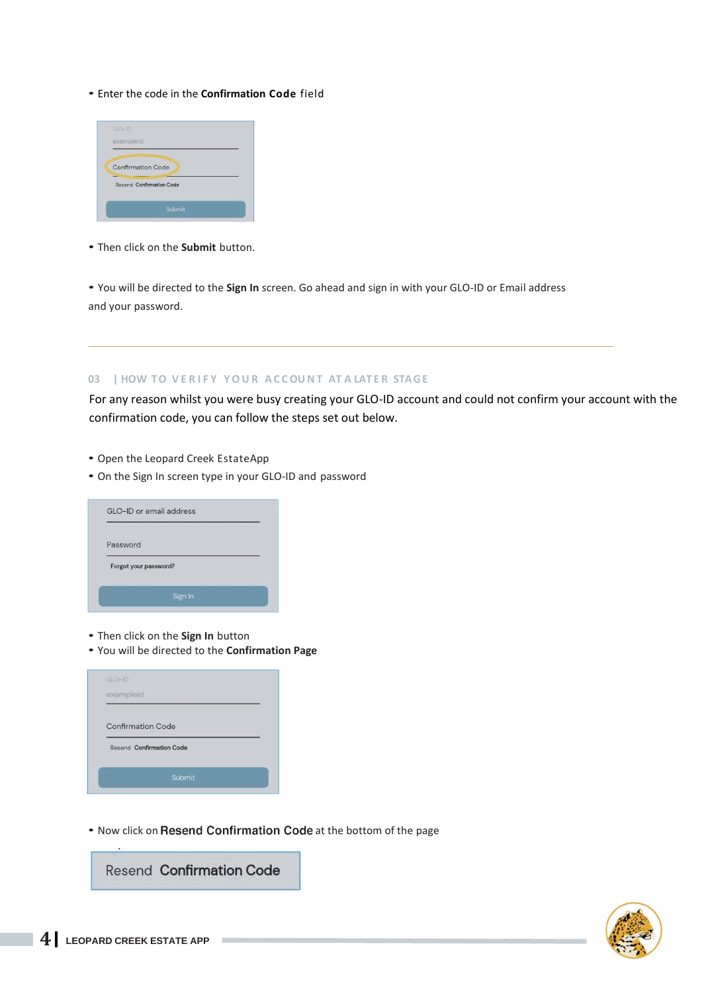#### • Enter the code in the **Confirmation Code** field



• Then click on the **Submit** button.

• You will be directed to the **Sign In** screen. Go ahead and sign in with your GLO-ID or Email address and your password.

#### **03 | HOW TO V E R I F Y Y O U R A C COU N T AT A LAT E R STA GE**

For any reason whilst you were busy creating your GLO-ID account and could not confirm your account with the confirmation code, you can follow the steps set out below.

- Open the Leopard Creek EstateApp
- On the Sign In screen type in your GLO-ID and password

|          | GLO-ID or email address |  |
|----------|-------------------------|--|
| Password |                         |  |
|          | Forgot your password?   |  |
|          | Sign In                 |  |

- Then click on the **Sign In** button
- You will be directed to the **Confirmation Page**

| $GLO-HD$  |                                 |  |
|-----------|---------------------------------|--|
| exampleid |                                 |  |
|           |                                 |  |
|           | <b>Confirmation Code</b>        |  |
|           | <b>Resend Confirmation Code</b> |  |

• Now click on Resend Confirmation Code at the bottom of the page

**Resend Confirmation Code** 

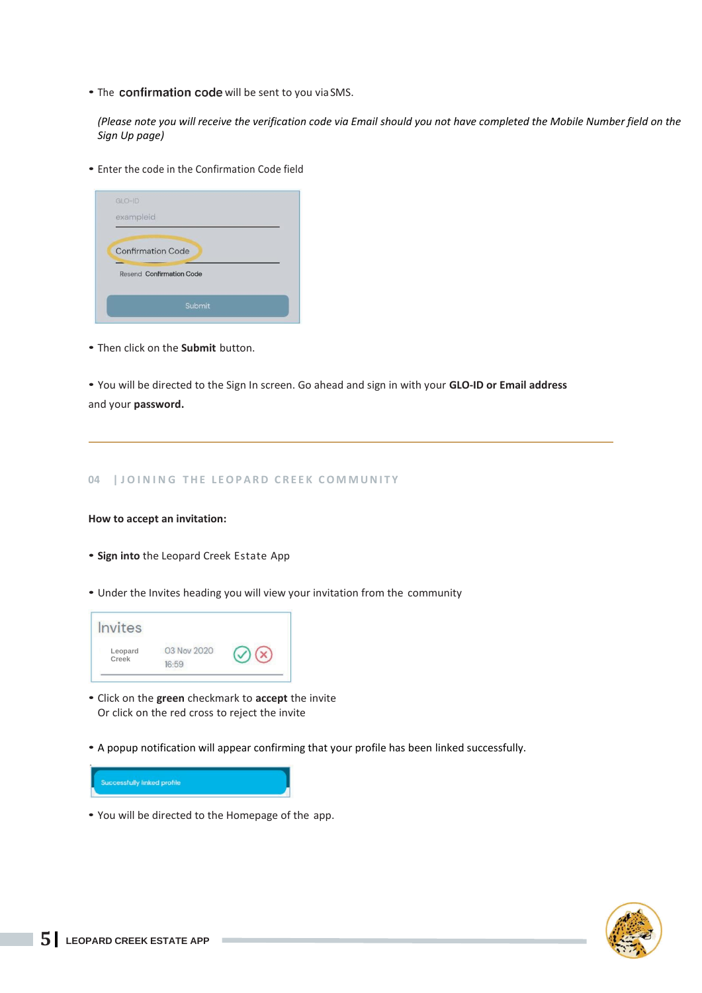• The confirmation code will be sent to you via SMS.

*(Please note you will receive the verification code via Email should you not have completed the Mobile Number field on the Sign Up page)*

• Enter the code in the Confirmation Code field

| $GLO$ -ID                       |  |
|---------------------------------|--|
| exampleid                       |  |
|                                 |  |
| <b>Confirmation Code</b>        |  |
| <b>Resend Confirmation Code</b> |  |
|                                 |  |
|                                 |  |

• Then click on the **Submit** button.

• You will be directed to the Sign In screen. Go ahead and sign in with your **GLO-ID or Email address**  and your **password.**

#### **04 | J O I N I N G T H E L E O P A R D C R E E K C O M M U N I T Y**

#### **How to accept an invitation:**

- **Sign into** the Leopard Creek Estate App
- Under the Invites heading you will view your invitation from the community

| Invites          |                          |  |
|------------------|--------------------------|--|
| Leopard<br>Creek | 03 Nov 2020<br>$16 - 59$ |  |

- Click on the **green** checkmark to **accept** the invite Or click on the red cross to reject the invite
- A popup notification will appear confirming that your profile has been linked successfully.



• You will be directed to the Homepage of the app.